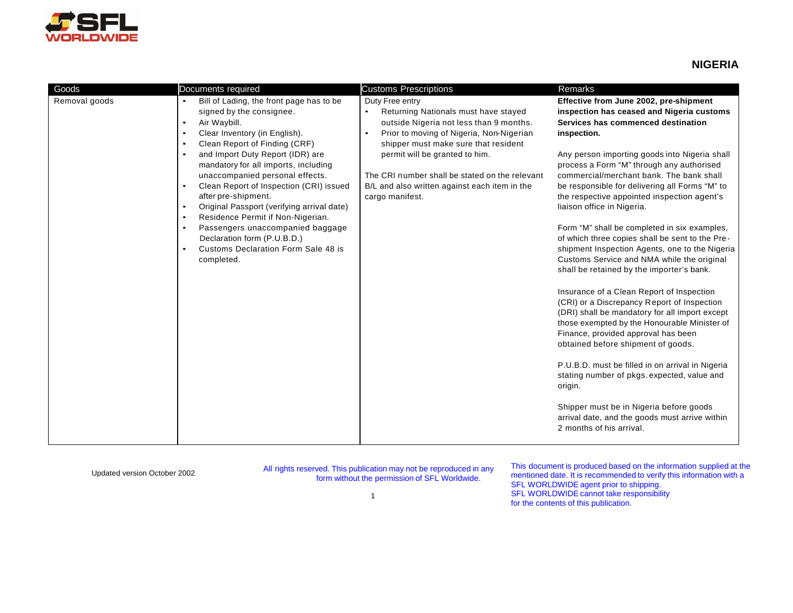

## **NIGERIA**

| Goods         | Documents required                                                                                                                                                                                                                                                                                                                                                                                                                                                                                                                                                                                                                                                      | <b>Customs Prescriptions</b>                                                                                                                                                                                                                                                                                                                                             | Remarks                                                                                                                                                                                                                                                                                                                                                                                                                                                                                                                                                                                                                                                                                                                                                                                                                                                                                                                                                                                                                                                                                                                                                                             |
|---------------|-------------------------------------------------------------------------------------------------------------------------------------------------------------------------------------------------------------------------------------------------------------------------------------------------------------------------------------------------------------------------------------------------------------------------------------------------------------------------------------------------------------------------------------------------------------------------------------------------------------------------------------------------------------------------|--------------------------------------------------------------------------------------------------------------------------------------------------------------------------------------------------------------------------------------------------------------------------------------------------------------------------------------------------------------------------|-------------------------------------------------------------------------------------------------------------------------------------------------------------------------------------------------------------------------------------------------------------------------------------------------------------------------------------------------------------------------------------------------------------------------------------------------------------------------------------------------------------------------------------------------------------------------------------------------------------------------------------------------------------------------------------------------------------------------------------------------------------------------------------------------------------------------------------------------------------------------------------------------------------------------------------------------------------------------------------------------------------------------------------------------------------------------------------------------------------------------------------------------------------------------------------|
| Removal goods | Bill of Lading, the front page has to be<br>$\bullet$<br>signed by the consignee.<br>Air Waybill.<br>$\bullet$<br>Clear Inventory (in English).<br>$\bullet$<br>Clean Report of Finding (CRF)<br>$\bullet$<br>and Import Duty Report (IDR) are<br>$\bullet$<br>mandatory for all imports, including<br>unaccompanied personal effects.<br>Clean Report of Inspection (CRI) issued<br>$\bullet$<br>after pre-shipment.<br>Original Passport (verifying arrival date)<br>$\bullet$<br>Residence Permit if Non-Nigerian.<br>$\bullet$<br>Passengers unaccompanied baggage<br>$\bullet$<br>Declaration form (P.U.B.D.)<br>Customs Declaration Form Sale 48 is<br>completed. | Duty Free entry<br>Returning Nationals must have stayed<br>$\bullet$<br>outside Nigeria not less than 9 months.<br>Prior to moving of Nigeria, Non-Nigerian<br>$\bullet$<br>shipper must make sure that resident<br>permit will be granted to him.<br>The CRI number shall be stated on the relevant<br>B/L and also written against each item in the<br>cargo manifest. | Effective from June 2002, pre-shipment<br>inspection has ceased and Nigeria customs<br>Services has commenced destination<br>inspection.<br>Any person importing goods into Nigeria shall<br>process a Form "M" through any authorised<br>commercial/merchant bank. The bank shall<br>be responsible for delivering all Forms "M" to<br>the respective appointed inspection agent's<br>liaison office in Nigeria.<br>Form "M" shall be completed in six examples,<br>of which three copies shall be sent to the Pre-<br>shipment Inspection Agents, one to the Nigeria<br>Customs Service and NMA while the original<br>shall be retained by the importer's bank.<br>Insurance of a Clean Report of Inspection<br>(CRI) or a Discrepancy Report of Inspection<br>(DRI) shall be mandatory for all import except<br>those exempted by the Honourable Minister of<br>Finance, provided approval has been<br>obtained before shipment of goods.<br>P.U.B.D. must be filled in on arrival in Nigeria<br>stating number of pkgs. expected, value and<br>origin.<br>Shipper must be in Nigeria before goods<br>arrival date, and the goods must arrive within<br>2 months of his arrival. |

Updated version October 2002 All rights reserved. This publication may not be reproduced in any form without the permission of SFL Worldwide.

This document is produced based on the information supplied at the mentioned date. It is recommended to verify this information with a SFL WORLDWIDE agent prior to shipping. SFL WORLDWIDE cannot take responsibility for the contents of this publication.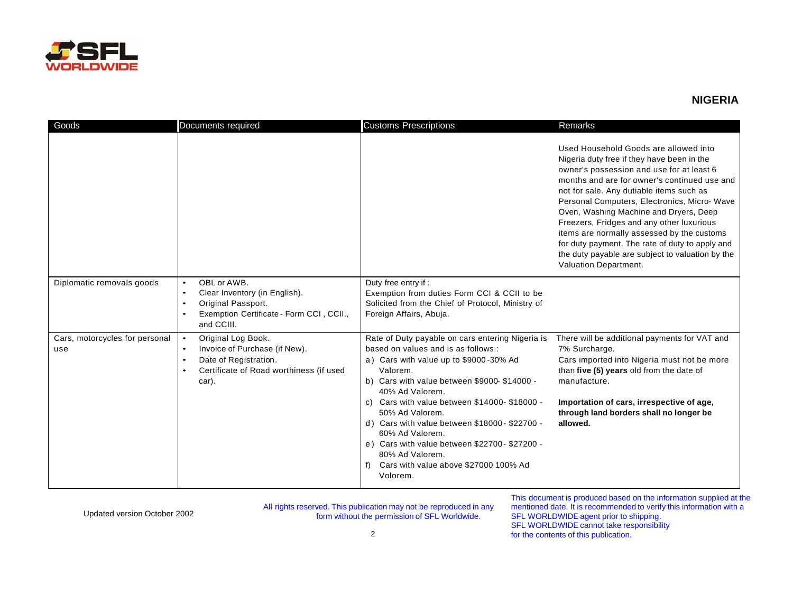

## **NIGERIA**

| Goods                                 | Documents required                                                                                                                                                  | <b>Customs Prescriptions</b>                                                                                                                                                                                                                                                                                                                                                                                                                                                      | Remarks                                                                                                                                                                                                                                                                                                                                                                                                                                                                                                                                          |
|---------------------------------------|---------------------------------------------------------------------------------------------------------------------------------------------------------------------|-----------------------------------------------------------------------------------------------------------------------------------------------------------------------------------------------------------------------------------------------------------------------------------------------------------------------------------------------------------------------------------------------------------------------------------------------------------------------------------|--------------------------------------------------------------------------------------------------------------------------------------------------------------------------------------------------------------------------------------------------------------------------------------------------------------------------------------------------------------------------------------------------------------------------------------------------------------------------------------------------------------------------------------------------|
|                                       |                                                                                                                                                                     |                                                                                                                                                                                                                                                                                                                                                                                                                                                                                   | Used Household Goods are allowed into<br>Nigeria duty free if they have been in the<br>owner's possession and use for at least 6<br>months and are for owner's continued use and<br>not for sale. Any dutiable items such as<br>Personal Computers, Electronics, Micro-Wave<br>Oven, Washing Machine and Dryers, Deep<br>Freezers, Fridges and any other luxurious<br>items are normally assessed by the customs<br>for duty payment. The rate of duty to apply and<br>the duty payable are subject to valuation by the<br>Valuation Department. |
| Diplomatic removals goods             | OBL or AWB.<br>$\bullet$<br>Clear Inventory (in English).<br>$\bullet$<br>Original Passport.<br>$\bullet$<br>Exemption Certificate - Form CCI, CCII.,<br>and CCIII. | Duty free entry if:<br>Exemption from duties Form CCI & CCII to be<br>Solicited from the Chief of Protocol, Ministry of<br>Foreign Affairs, Abuja.                                                                                                                                                                                                                                                                                                                                |                                                                                                                                                                                                                                                                                                                                                                                                                                                                                                                                                  |
| Cars, motorcycles for personal<br>use | Original Log Book.<br>Invoice of Purchase (if New).<br>$\bullet$<br>Date of Registration.<br>$\bullet$<br>Certificate of Road worthiness (if used<br>car).          | Rate of Duty payable on cars entering Nigeria is<br>based on values and is as follows :<br>a) Cars with value up to \$9000-30% Ad<br>Valorem.<br>b) Cars with value between \$9000-\$14000 -<br>40% Ad Valorem.<br>c) Cars with value between $$14000 - $18000 -$<br>50% Ad Valorem.<br>d) Cars with value between \$18000-\$22700 -<br>60% Ad Valorem.<br>e) Cars with value between \$22700 - \$27200 -<br>80% Ad Valorem.<br>Cars with value above \$27000 100% Ad<br>Volorem. | There will be additional payments for VAT and<br>7% Surcharge.<br>Cars imported into Nigeria must not be more<br>than five (5) years old from the date of<br>manufacture.<br>Importation of cars, irrespective of age,<br>through land borders shall no longer be<br>allowed.                                                                                                                                                                                                                                                                    |

Updated version October 2002 All rights reserved. This publication may not be reproduced in any form without the permission of SFL Worldwide.

This document is produced based on the information supplied at the mentioned date. It is recommended to verify this information with a SFL WORLDWIDE agent prior to shipping. SFL WORLDWIDE cannot take responsibility for the contents of this publication.